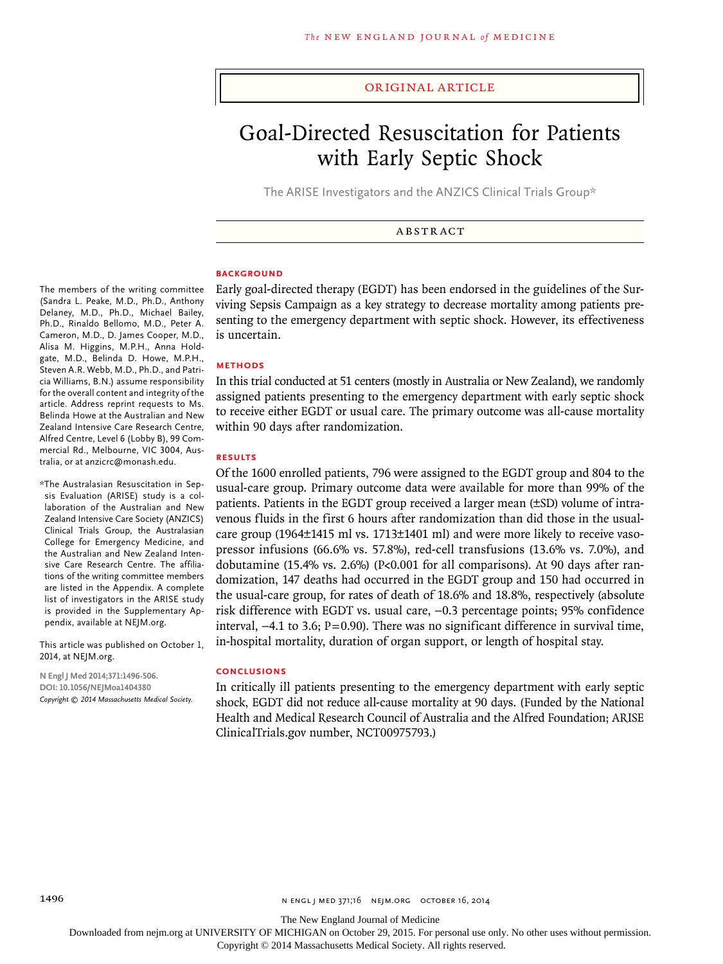#### original article

# Goal-Directed Resuscitation for Patients with Early Septic Shock

The ARISE Investigators and the ANZICS Clinical Trials Group\*

**ABSTRACT** 

#### **BACKGROUND**

Early goal-directed therapy (EGDT) has been endorsed in the guidelines of the Surviving Sepsis Campaign as a key strategy to decrease mortality among patients presenting to the emergency department with septic shock. However, its effectiveness is uncertain.

#### **Methods**

In this trial conducted at 51 centers (mostly in Australia or New Zealand), we randomly assigned patients presenting to the emergency department with early septic shock to receive either EGDT or usual care. The primary outcome was all-cause mortality within 90 days after randomization.

#### **Results**

Of the 1600 enrolled patients, 796 were assigned to the EGDT group and 804 to the usual-care group. Primary outcome data were available for more than 99% of the patients. Patients in the EGDT group received a larger mean (±SD) volume of intravenous fluids in the first 6 hours after randomization than did those in the usualcare group (1964±1415 ml vs. 1713±1401 ml) and were more likely to receive vasopressor infusions (66.6% vs. 57.8%), red-cell transfusions (13.6% vs. 7.0%), and dobutamine (15.4% vs. 2.6%) ( $P<sub>0.001</sub>$  for all comparisons). At 90 days after randomization, 147 deaths had occurred in the EGDT group and 150 had occurred in the usual-care group, for rates of death of 18.6% and 18.8%, respectively (absolute risk difference with EGDT vs. usual care, −0.3 percentage points; 95% confidence interval, −4.1 to 3.6; P=0.90). There was no significant difference in survival time, in-hospital mortality, duration of organ support, or length of hospital stay.

#### **Conclusions**

In critically ill patients presenting to the emergency department with early septic shock, EGDT did not reduce all-cause mortality at 90 days. (Funded by the National Health and Medical Research Council of Australia and the Alfred Foundation; ARISE ClinicalTrials.gov number, NCT00975793.)

The members of the writing committee (Sandra L. Peake, M.D., Ph.D., Anthony Delaney, M.D., Ph.D., Michael Bailey, Ph.D., Rinaldo Bellomo, M.D., Peter A. Cameron, M.D., D. James Cooper, M.D., Alisa M. Higgins, M.P.H., Anna Holdgate, M.D., Belinda D. Howe, M.P.H., Steven A.R. Webb, M.D., Ph.D., and Patricia Williams, B.N.) assume responsibility for the overall content and integrity of the article. Address reprint requests to Ms. Belinda Howe at the Australian and New Zealand Intensive Care Research Centre, Alfred Centre, Level 6 (Lobby B), 99 Commercial Rd., Melbourne, VIC 3004, Australia, or at anzicrc@monash.edu.

\*The Australasian Resuscitation in Sepsis Evaluation (ARISE) study is a collaboration of the Australian and New Zealand Intensive Care Society (ANZICS) Clinical Trials Group, the Australasian College for Emergency Medicine, and the Australian and New Zealand Intensive Care Research Centre. The affiliations of the writing committee members are listed in the Appendix. A complete list of investigators in the ARISE study is provided in the Supplementary Appendix, available at NEJM.org.

This article was published on October 1, 2014, at NEJM.org.

**N Engl J Med 2014;371:1496-506. DOI: 10.1056/NEJMoa1404380** *Copyright © 2014 Massachusetts Medical Society.*

The New England Journal of Medicine

Downloaded from nejm.org at UNIVERSITY OF MICHIGAN on October 29, 2015. For personal use only. No other uses without permission.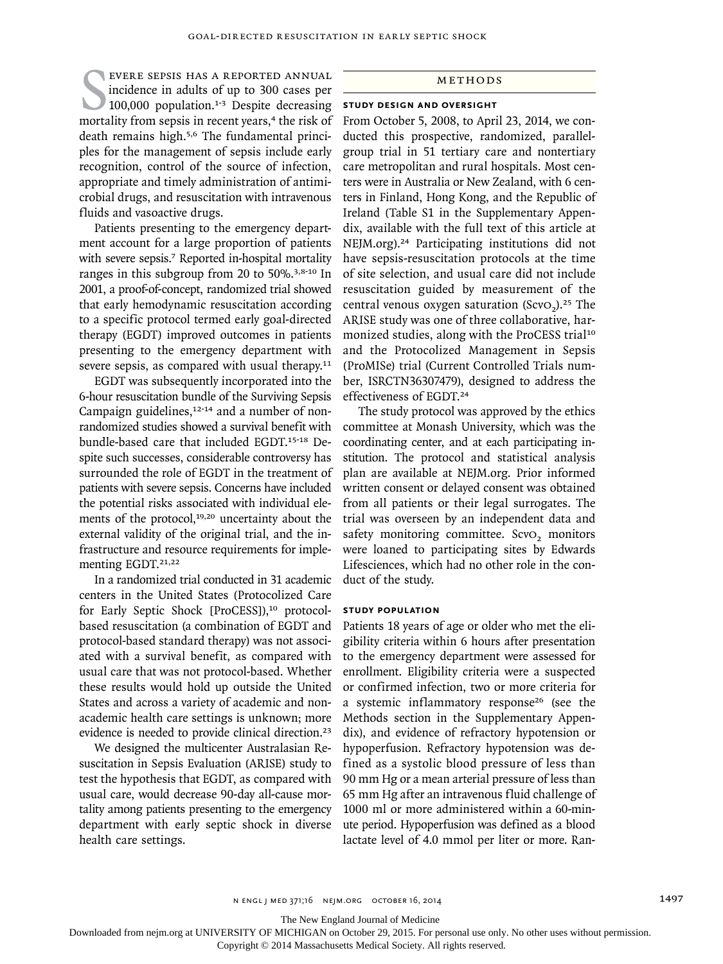EVERE SEPSIS HAS A REPORTED ANNUAL<br>incidence in adults of up to 300 cases per<br>100,000 population.<sup>1-3</sup> Despite decreasing<br>mortality from sepsis in recent years,<sup>4</sup> the risk of evere sepsis has a reported annual incidence in adults of up to 300 cases per  $100,000$  population.<sup>1-3</sup> Despite decreasing death remains high.5,6 The fundamental principles for the management of sepsis include early recognition, control of the source of infection, appropriate and timely administration of antimicrobial drugs, and resuscitation with intravenous fluids and vasoactive drugs.

Patients presenting to the emergency department account for a large proportion of patients with severe sepsis.<sup>7</sup> Reported in-hospital mortality ranges in this subgroup from 20 to 50%.3,8-10 In 2001, a proof-of-concept, randomized trial showed that early hemodynamic resuscitation according to a specific protocol termed early goal-directed therapy (EGDT) improved outcomes in patients presenting to the emergency department with severe sepsis, as compared with usual therapy.<sup>11</sup>

EGDT was subsequently incorporated into the 6-hour resuscitation bundle of the Surviving Sepsis Campaign guidelines,<sup>12-14</sup> and a number of nonrandomized studies showed a survival benefit with bundle-based care that included EGDT.15-18 Despite such successes, considerable controversy has surrounded the role of EGDT in the treatment of patients with severe sepsis. Concerns have included the potential risks associated with individual elements of the protocol,<sup>19,20</sup> uncertainty about the external validity of the original trial, and the infrastructure and resource requirements for implementing EGDT.<sup>21,22</sup>

In a randomized trial conducted in 31 academic centers in the United States (Protocolized Care for Early Septic Shock [ProCESS]),<sup>10</sup> protocolbased resuscitation (a combination of EGDT and protocol-based standard therapy) was not associated with a survival benefit, as compared with usual care that was not protocol-based. Whether these results would hold up outside the United States and across a variety of academic and nonacademic health care settings is unknown; more evidence is needed to provide clinical direction.<sup>23</sup>

We designed the multicenter Australasian Resuscitation in Sepsis Evaluation (ARISE) study to test the hypothesis that EGDT, as compared with usual care, would decrease 90-day all-cause mortality among patients presenting to the emergency department with early septic shock in diverse health care settings.

## Methods

#### **Study Design and Oversight**

From October 5, 2008, to April 23, 2014, we conducted this prospective, randomized, parallelgroup trial in 51 tertiary care and nontertiary care metropolitan and rural hospitals. Most centers were in Australia or New Zealand, with 6 centers in Finland, Hong Kong, and the Republic of Ireland (Table S1 in the Supplementary Appendix, available with the full text of this article at NEJM.org).24 Participating institutions did not have sepsis-resuscitation protocols at the time of site selection, and usual care did not include resuscitation guided by measurement of the central venous oxygen saturation (ScvO<sub>2</sub>).<sup>25</sup> The ARISE study was one of three collaborative, harmonized studies, along with the ProCESS trial<sup>10</sup> and the Protocolized Management in Sepsis (ProMISe) trial (Current Controlled Trials number, ISRCTN36307479), designed to address the effectiveness of EGDT.<sup>24</sup>

The study protocol was approved by the ethics committee at Monash University, which was the coordinating center, and at each participating institution. The protocol and statistical analysis plan are available at NEJM.org. Prior informed written consent or delayed consent was obtained from all patients or their legal surrogates. The trial was overseen by an independent data and safety monitoring committee. ScvO<sub>2</sub> monitors were loaned to participating sites by Edwards Lifesciences, which had no other role in the conduct of the study.

#### **Study Population**

Patients 18 years of age or older who met the eligibility criteria within 6 hours after presentation to the emergency department were assessed for enrollment. Eligibility criteria were a suspected or confirmed infection, two or more criteria for a systemic inflammatory response<sup>26</sup> (see the Methods section in the Supplementary Appendix), and evidence of refractory hypotension or hypoperfusion. Refractory hypotension was defined as a systolic blood pressure of less than 90 mm Hg or a mean arterial pressure of less than 65 mm Hg after an intravenous fluid challenge of 1000 ml or more administered within a 60-minute period. Hypoperfusion was defined as a blood lactate level of 4.0 mmol per liter or more. Ran-

n engl j med 371;16 nejm.org october 16, 2014 1497

The New England Journal of Medicine

Downloaded from nejm.org at UNIVERSITY OF MICHIGAN on October 29, 2015. For personal use only. No other uses without permission.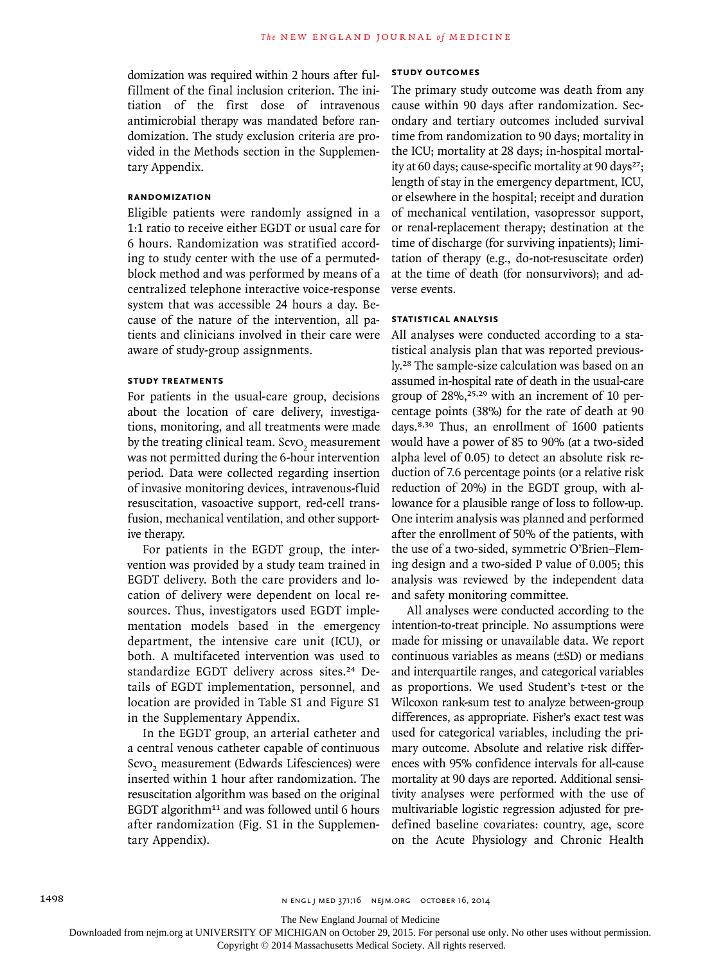domization was required within 2 hours after fulfillment of the final inclusion criterion. The initiation of the first dose of intravenous antimicrobial therapy was mandated before randomization. The study exclusion criteria are provided in the Methods section in the Supplementary Appendix.

## **Randomization**

Eligible patients were randomly assigned in a 1:1 ratio to receive either EGDT or usual care for 6 hours. Randomization was stratified according to study center with the use of a permutedblock method and was performed by means of a centralized telephone interactive voice-response system that was accessible 24 hours a day. Because of the nature of the intervention, all patients and clinicians involved in their care were aware of study-group assignments.

## **Study Treatments**

For patients in the usual-care group, decisions about the location of care delivery, investigations, monitoring, and all treatments were made by the treating clinical team. Scv $o_2$  measurement was not permitted during the 6-hour intervention period. Data were collected regarding insertion of invasive monitoring devices, intravenous-fluid resuscitation, vasoactive support, red-cell transfusion, mechanical ventilation, and other supportive therapy.

For patients in the EGDT group, the intervention was provided by a study team trained in EGDT delivery. Both the care providers and location of delivery were dependent on local resources. Thus, investigators used EGDT implementation models based in the emergency department, the intensive care unit (ICU), or both. A multifaceted intervention was used to standardize EGDT delivery across sites.<sup>24</sup> Details of EGDT implementation, personnel, and location are provided in Table S1 and Figure S1 in the Supplementary Appendix.

In the EGDT group, an arterial catheter and a central venous catheter capable of continuous ScvO<sub>2</sub> measurement (Edwards Lifesciences) were inserted within 1 hour after randomization. The resuscitation algorithm was based on the original EGDT algorithm<sup>11</sup> and was followed until 6 hours after randomization (Fig. S1 in the Supplementary Appendix).

## **Study Outcomes**

The primary study outcome was death from any cause within 90 days after randomization. Secondary and tertiary outcomes included survival time from randomization to 90 days; mortality in the ICU; mortality at 28 days; in-hospital mortality at 60 days; cause-specific mortality at 90 days<sup>27</sup>; length of stay in the emergency department, ICU, or elsewhere in the hospital; receipt and duration of mechanical ventilation, vasopressor support, or renal-replacement therapy; destination at the time of discharge (for surviving inpatients); limitation of therapy (e.g., do-not-resuscitate order) at the time of death (for nonsurvivors); and adverse events.

#### **Statistical Analysis**

All analyses were conducted according to a statistical analysis plan that was reported previously.28 The sample-size calculation was based on an assumed in-hospital rate of death in the usual-care group of  $28\%$ ,  $25,29$  with an increment of 10 percentage points (38%) for the rate of death at 90 days.8,30 Thus, an enrollment of 1600 patients would have a power of 85 to 90% (at a two-sided alpha level of 0.05) to detect an absolute risk reduction of 7.6 percentage points (or a relative risk reduction of 20%) in the EGDT group, with allowance for a plausible range of loss to follow-up. One interim analysis was planned and performed after the enrollment of 50% of the patients, with the use of a two-sided, symmetric O'Brien–Fleming design and a two-sided P value of 0.005; this analysis was reviewed by the independent data and safety monitoring committee.

All analyses were conducted according to the intention-to-treat principle. No assumptions were made for missing or unavailable data. We report continuous variables as means (±SD) or medians and interquartile ranges, and categorical variables as proportions. We used Student's t-test or the Wilcoxon rank-sum test to analyze between-group differences, as appropriate. Fisher's exact test was used for categorical variables, including the primary outcome. Absolute and relative risk differences with 95% confidence intervals for all-cause mortality at 90 days are reported. Additional sensitivity analyses were performed with the use of multivariable logistic regression adjusted for predefined baseline covariates: country, age, score on the Acute Physiology and Chronic Health

The New England Journal of Medicine

Downloaded from nejm.org at UNIVERSITY OF MICHIGAN on October 29, 2015. For personal use only. No other uses without permission.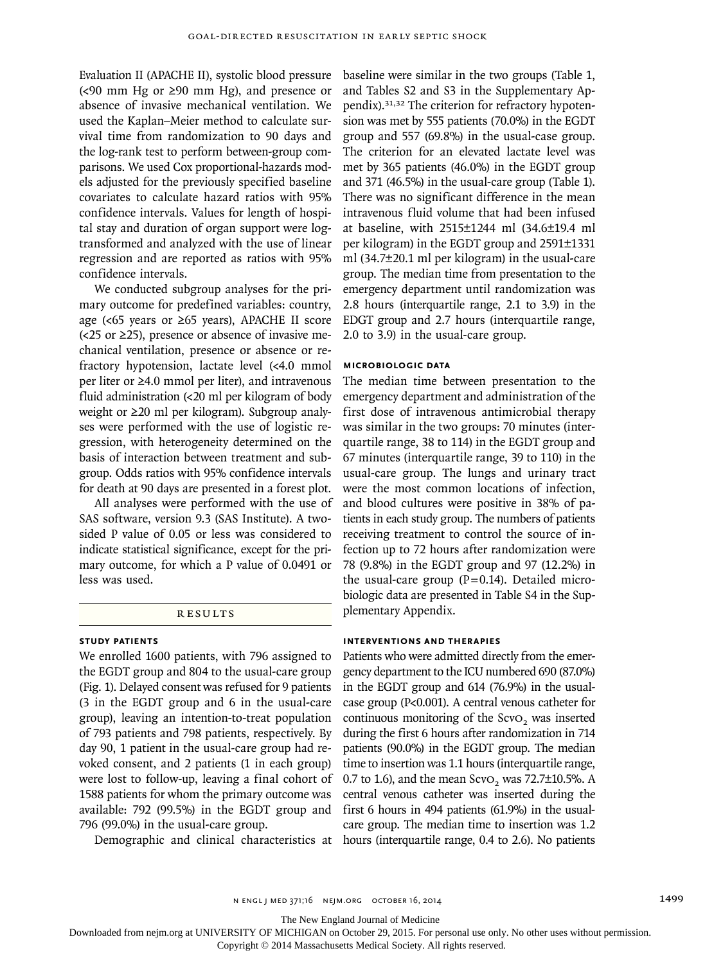Evaluation II (APACHE II), systolic blood pressure  $\left($  <90 mm Hg or  $\geq$ 90 mm Hg), and presence or absence of invasive mechanical ventilation. We used the Kaplan–Meier method to calculate survival time from randomization to 90 days and the log-rank test to perform between-group comparisons. We used Cox proportional-hazards models adjusted for the previously specified baseline covariates to calculate hazard ratios with 95% confidence intervals. Values for length of hospital stay and duration of organ support were logtransformed and analyzed with the use of linear regression and are reported as ratios with 95% confidence intervals.

We conducted subgroup analyses for the primary outcome for predefined variables: country, age (<65 years or ≥65 years), APACHE II score  $\left($  <25 or  $\geq$ 25), presence or absence of invasive mechanical ventilation, presence or absence or refractory hypotension, lactate level (<4.0 mmol per liter or ≥4.0 mmol per liter), and intravenous fluid administration (<20 ml per kilogram of body weight or ≥20 ml per kilogram). Subgroup analyses were performed with the use of logistic regression, with heterogeneity determined on the basis of interaction between treatment and subgroup. Odds ratios with 95% confidence intervals for death at 90 days are presented in a forest plot.

All analyses were performed with the use of SAS software, version 9.3 (SAS Institute). A twosided P value of 0.05 or less was considered to indicate statistical significance, except for the primary outcome, for which a P value of 0.0491 or less was used.

#### **RESULTS**

## **Study Patients**

We enrolled 1600 patients, with 796 assigned to the EGDT group and 804 to the usual-care group (Fig. 1). Delayed consent was refused for 9 patients (3 in the EGDT group and 6 in the usual-care group), leaving an intention-to-treat population of 793 patients and 798 patients, respectively. By day 90, 1 patient in the usual-care group had revoked consent, and 2 patients (1 in each group) were lost to follow-up, leaving a final cohort of 1588 patients for whom the primary outcome was available: 792 (99.5%) in the EGDT group and 796 (99.0%) in the usual-care group.

baseline were similar in the two groups (Table 1, and Tables S2 and S3 in the Supplementary Appendix).31,32 The criterion for refractory hypotension was met by 555 patients (70.0%) in the EGDT group and 557 (69.8%) in the usual-case group. The criterion for an elevated lactate level was met by 365 patients (46.0%) in the EGDT group and 371 (46.5%) in the usual-care group (Table 1). There was no significant difference in the mean intravenous fluid volume that had been infused at baseline, with 2515±1244 ml (34.6±19.4 ml per kilogram) in the EGDT group and 2591±1331 ml (34.7±20.1 ml per kilogram) in the usual-care group. The median time from presentation to the emergency department until randomization was 2.8 hours (interquartile range, 2.1 to 3.9) in the EDGT group and 2.7 hours (interquartile range, 2.0 to 3.9) in the usual-care group.

#### **Microbiologic Data**

The median time between presentation to the emergency department and administration of the first dose of intravenous antimicrobial therapy was similar in the two groups: 70 minutes (interquartile range, 38 to 114) in the EGDT group and 67 minutes (interquartile range, 39 to 110) in the usual-care group. The lungs and urinary tract were the most common locations of infection, and blood cultures were positive in 38% of patients in each study group. The numbers of patients receiving treatment to control the source of infection up to 72 hours after randomization were 78 (9.8%) in the EGDT group and 97 (12.2%) in the usual-care group  $(P=0.14)$ . Detailed microbiologic data are presented in Table S4 in the Supplementary Appendix.

## **Interventions and Therapies**

Demographic and clinical characteristics at hours (interquartile range, 0.4 to 2.6). No patients Patients who were admitted directly from the emergency department to the ICU numbered 690 (87.0%) in the EGDT group and 614 (76.9%) in the usualcase group (P<0.001). A central venous catheter for continuous monitoring of the ScvO<sub>2</sub> was inserted during the first 6 hours after randomization in 714 patients (90.0%) in the EGDT group. The median time to insertion was 1.1 hours (interquartile range, 0.7 to 1.6), and the mean  $S$ cvO<sub>2</sub> was 72.7 $\pm$ 10.5%. A central venous catheter was inserted during the first 6 hours in 494 patients (61.9%) in the usualcare group. The median time to insertion was 1.2

The New England Journal of Medicine

Downloaded from nejm.org at UNIVERSITY OF MICHIGAN on October 29, 2015. For personal use only. No other uses without permission.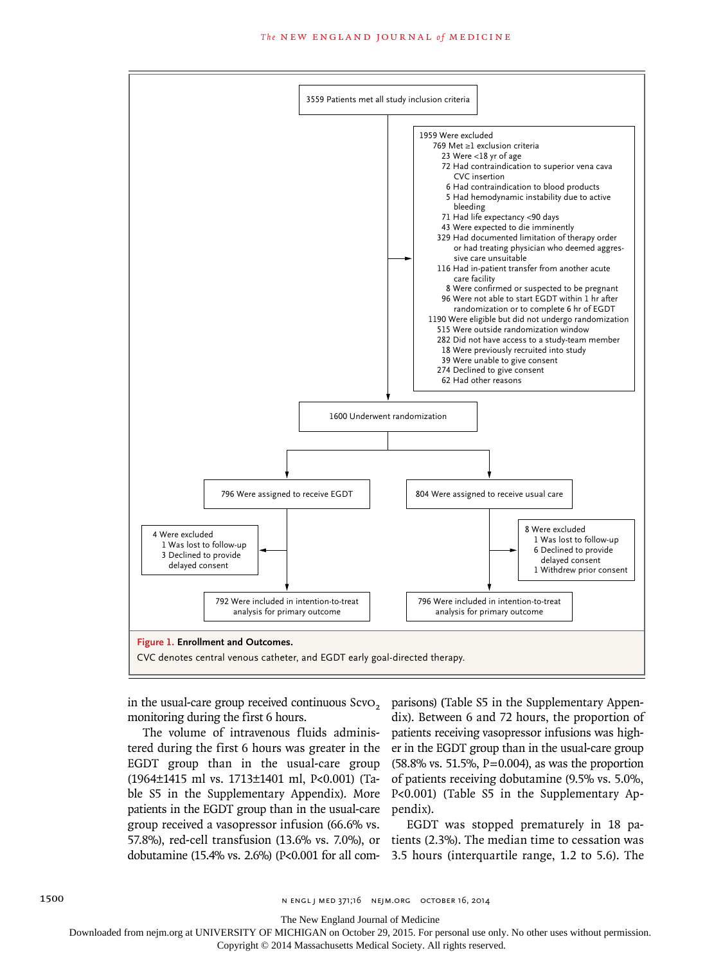

monitoring during the first 6 hours.

The volume of intravenous fluids administered during the first 6 hours was greater in the EGDT group than in the usual-care group (1964±1415 ml vs. 1713±1401 ml, P<0.001) (Table S5 in the Supplementary Appendix). More patients in the EGDT group than in the usual-care group received a vasopressor infusion (66.6% vs.

in the usual-care group received continuous ScvO<sub>2</sub> parisons) (Table S5 in the Supplementary Appendix). Between 6 and 72 hours, the proportion of patients receiving vasopressor infusions was higher in the EGDT group than in the usual-care group (58.8% vs. 51.5%, P=0.004), as was the proportion of patients receiving dobutamine (9.5% vs. 5.0%, P<0.001) (Table S5 in the Supplementary Appendix).

57.8%), red-cell transfusion (13.6% vs. 7.0%), or tients (2.3%). The median time to cessation was dobutamine (15.4% vs. 2.6%) (P<0.001 for all com-3.5 hours (interquartile range, 1.2 to 5.6). The EGDT was stopped prematurely in 18 pa-

The New England Journal of Medicine

Downloaded from nejm.org at UNIVERSITY OF MICHIGAN on October 29, 2015. For personal use only. No other uses without permission.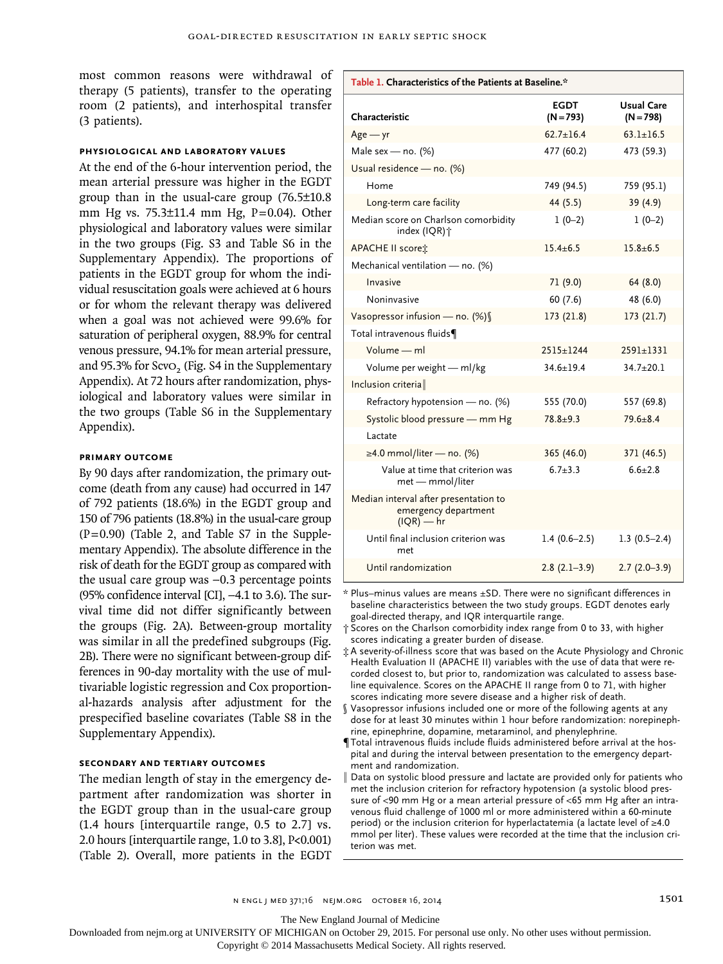most common reasons were withdrawal of  $\Box$ therapy (5 patients), transfer to the operating room (2 patients), and interhospital transfer (3 patients).

#### **Physiological and Laboratory Values**

At the end of the 6-hour intervention period, the mean arterial pressure was higher in the EGDT group than in the usual-care group (76.5±10.8 mm Hg vs. 75.3±11.4 mm Hg, P=0.04). Other physiological and laboratory values were similar in the two groups (Fig. S3 and Table S6 in the Supplementary Appendix). The proportions of patients in the EGDT group for whom the individual resuscitation goals were achieved at 6 hours or for whom the relevant therapy was delivered when a goal was not achieved were 99.6% for saturation of peripheral oxygen, 88.9% for central venous pressure, 94.1% for mean arterial pressure, and 95.3% for ScvO<sub>2</sub> (Fig.  $S4$  in the Supplementary Appendix). At 72 hours after randomization, physiological and laboratory values were similar in the two groups (Table S6 in the Supplementary Appendix).

#### **Primary Outcome**

By 90 days after randomization, the primary outcome (death from any cause) had occurred in 147 of 792 patients (18.6%) in the EGDT group and 150 of 796 patients (18.8%) in the usual-care group (P=0.90) (Table 2, and Table S7 in the Supplementary Appendix). The absolute difference in the risk of death for the EGDT group as compared with the usual care group was −0.3 percentage points (95% confidence interval [CI], −4.1 to 3.6). The survival time did not differ significantly between the groups (Fig. 2A). Between-group mortality was similar in all the predefined subgroups (Fig. 2B). There were no significant between-group differences in 90-day mortality with the use of multivariable logistic regression and Cox proportional-hazards analysis after adjustment for the prespecified baseline covariates (Table S8 in the Supplementary Appendix).

#### **Secondary and Tertiary Outcomes**

The median length of stay in the emergency department after randomization was shorter in the EGDT group than in the usual-care group (1.4 hours [interquartile range, 0.5 to 2.7] vs. 2.0 hours [interquartile range, 1.0 to 3.8], P<0.001) (Table 2). Overall, more patients in the EGDT

| Table 1. Characteristics of the Patients at Baseline.*                        |                            |                                  |
|-------------------------------------------------------------------------------|----------------------------|----------------------------------|
| Characteristic                                                                | <b>EGDT</b><br>$(N = 793)$ | <b>Usual Care</b><br>$(N = 798)$ |
| $Age - yr$                                                                    | $62.7 \pm 16.4$            | $63.1 + 16.5$                    |
| Male sex - no. (%)                                                            | 477 (60.2)                 | 473 (59.3)                       |
| Usual residence - no. (%)                                                     |                            |                                  |
| Home                                                                          | 749 (94.5)                 | 759 (95.1)                       |
| Long-term care facility                                                       | 44 (5.5)                   | 39 (4.9)                         |
| Median score on Charlson comorbidity<br>index (IQR) +                         | $1(0-2)$                   | $1(0-2)$                         |
| <b>APACHE II scoret</b>                                                       | $15.4 \pm 6.5$             | $15.8 + 6.5$                     |
| Mechanical ventilation - no. (%)                                              |                            |                                  |
| Invasive                                                                      | 71 (9.0)                   | 64 (8.0)                         |
| Noninvasive                                                                   | 60(7.6)                    | 48 (6.0)                         |
| Vasopressor infusion - no. (%)                                                | 173 (21.8)                 | 173 (21.7)                       |
| Total intravenous fluids¶                                                     |                            |                                  |
| Volume - ml                                                                   | $2515 \pm 1244$            | $2591 \pm 1331$                  |
| Volume per weight - ml/kg                                                     | $34.6 + 19.4$              | $34.7 + 20.1$                    |
| Inclusion criteria                                                            |                            |                                  |
| Refractory hypotension - no. (%)                                              | 555 (70.0)                 | 557 (69.8)                       |
| Systolic blood pressure - mm Hg                                               | $78.8 + 9.3$               | $79.6 + 8.4$                     |
| Lactate                                                                       |                            |                                  |
| $\geq$ 4.0 mmol/liter — no. (%)                                               | 365 (46.0)                 | 371 (46.5)                       |
| Value at time that criterion was<br>met - mmol/liter                          | $6.7 + 3.3$                | $6.6 + 2.8$                      |
| Median interval after presentation to<br>emergency department<br>$(IQR) - hr$ |                            |                                  |
| Until final inclusion criterion was<br>met                                    | $1.4(0.6-2.5)$             | $1.3(0.5-2.4)$                   |
| Until randomization                                                           | $2.8(2.1-3.9)$             | $2.7(2.0-3.9)$                   |

\* Plus–minus values are means ±SD. There were no significant differences in baseline characteristics between the two study groups. EGDT denotes early goal-directed therapy, and IQR interquartile range.

† Scores on the Charlson comorbidity index range from 0 to 33, with higher scores indicating a greater burden of disease.

‡ A severity-of-illness score that was based on the Acute Physiology and Chronic Health Evaluation II (APACHE II) variables with the use of data that were recorded closest to, but prior to, randomization was calculated to assess baseline equivalence. Scores on the APACHE II range from 0 to 71, with higher scores indicating more severe disease and a higher risk of death.

- Vasopressor infusions included one or more of the following agents at any dose for at least 30 minutes within 1 hour before randomization: norepinephrine, epinephrine, dopamine, metaraminol, and phenylephrine.
- ¶Total intravenous fluids include fluids administered before arrival at the hospital and during the interval between presentation to the emergency department and randomization.
- Data on systolic blood pressure and lactate are provided only for patients who met the inclusion criterion for refractory hypotension (a systolic blood pressure of <90 mm Hg or a mean arterial pressure of <65 mm Hg after an intravenous fluid challenge of 1000 ml or more administered within a 60-minute period) or the inclusion criterion for hyperlactatemia (a lactate level of ≥4.0 mmol per liter). These values were recorded at the time that the inclusion criterion was met.

n engl j med 371;16 nejm.org october 16, 2014 1501

The New England Journal of Medicine

Downloaded from nejm.org at UNIVERSITY OF MICHIGAN on October 29, 2015. For personal use only. No other uses without permission.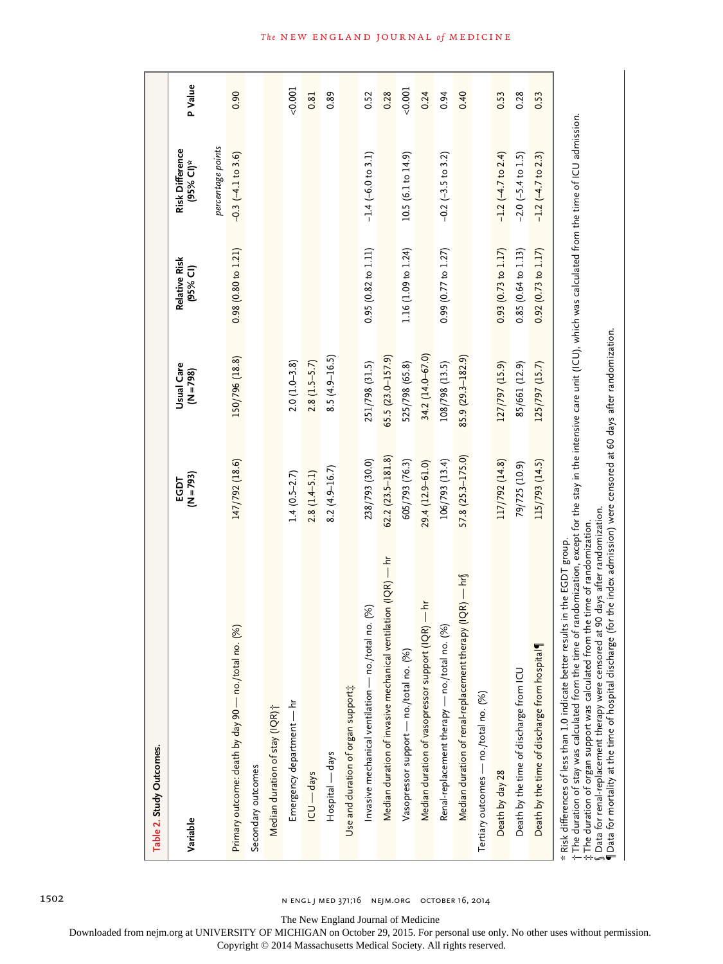| Table 2. Study Outcomes.                                      |                         |                           |                           |                                                   |         |
|---------------------------------------------------------------|-------------------------|---------------------------|---------------------------|---------------------------------------------------|---------|
| Variable                                                      | $(N = 793)$<br>EGDT     | Usual Care<br>$(N = 798)$ | Relative Risk<br>(95% CI) | percentage points<br>Risk Difference<br>(95% CI)* | P Value |
| (%)<br>Primary outcome: death by day 90 - no./total no        | 147/792 (18.6)          | 150/796 (18.8)            | 0.98(0.80 to 1.21)        | $-0.3$ $(-4.1$ to 3.6)                            | 0.90    |
| Secondary outcomes                                            |                         |                           |                           |                                                   |         |
| Median duration of stay (IQR) <sup>+</sup>                    |                         |                           |                           |                                                   |         |
| Emergency department — hr                                     | $1.4(0.5-2.7)$          | $2.0(1.0-3.8)$            |                           |                                                   | 0.001   |
| ICU — days                                                    | $2.8(1.4 - 5.1)$        | $2.8(1.5-5.7)$            |                           |                                                   | 0.81    |
| Hospital — days                                               | $8.2(4.9 - 16.7)$       | $8.5(4.9-16.5)$           |                           |                                                   | 0.89    |
| Use and duration of organ support;                            |                         |                           |                           |                                                   |         |
| Invasive mechanical ventilation — no./total no. (%)           | 238/793 (30.0)          | 251/798 (31.5)            | 0.95 (0.82 to 1.11)       | $-1.4$ (-6.0 to 3.1)                              | 0.52    |
| Median duration of invasive mechanical ventilation (IQR) - hr | $62.2$ $(23.5 - 181.8)$ | $65.5(23.0 - 157.9)$      |                           |                                                   | 0.28    |
| Vasopressor support - no./total no. (%)                       | 605/793 (76.3)          | 525/798 (65.8)            | 1.16 (1.09 to 1.24)       | 10.5 (6.1 to 14.9)                                | 0.001   |
| Median duration of vasopressor support (IQR) — hr             | 29.4 (12.9-61.0)        | 34.2 (14.0-67.0)          |                           |                                                   | 0.24    |
| Renal-replacement therapy — no./total no. (%)                 | 106/793(13.4)           | 108/798 (13.5)            | 0.99(0.77 to 1.27)        | $-0.2$ $(-3.5$ to 3.2)                            | 0.94    |
| Median duration of renal-replacement therapy (IQR) — hr $\S$  | 57.8 (25.3–175.0)       | 85.9 (29.3-182.9)         |                           |                                                   | 0.40    |
| Tertiary outcomes — no./total no. (%)                         |                         |                           |                           |                                                   |         |
| Death by day 28                                               | 117/792 (14.8)          | 127/797 (15.9)            | 0.93 (0.73 to 1.17)       | $-1.2$ ( $-4.7$ to 2.4)                           | 0.53    |
| Death by the time of discharge from ICU                       | 79/725 (10.9)           | 85/661 (12.9)             | 0.85 (0.64 to 1.13)       | $-2.0$ ( $-5.4$ to 1.5)                           | 0.28    |
| Death by the time of discharge from hospital                  | 115/793 (14.5)          | 125/797 (15.7)            | 0.92(0.73 to 1.17)        | $-1.2$ $(-4.7$ to 2.3)                            | 0.53    |

The duration of stay was calculated from the time of randomization, except for the stay in the intensive care unit (ICU), which was calculated from the time of ICU admission.<br>The duration of organ support was calculated fr The duration of stay was calculated from the time of randomization, except for the stay in the intensive care unit (ICU), which was calculated from the time of ICU admission. The duration of organ support was calculated from the time of randomization. †‡

§Data for renal-replacement therapy were censored at 90 days after randomization.

¶Data for mortality at the time of hospital discharge (for the index admission) were censored at 60 days after randomization.

The New England Journal of Medicine

Downloaded from nejm.org at UNIVERSITY OF MICHIGAN on October 29, 2015. For personal use only. No other uses without permission.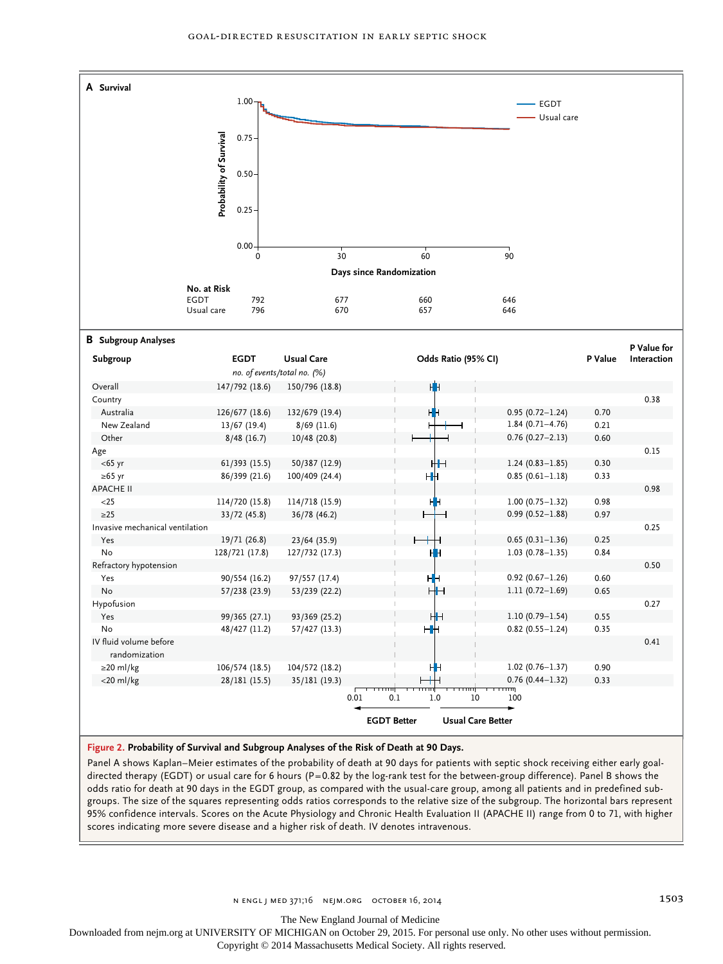

**Figure 2. Probability of Survival and Subgroup Analyses of the Risk of Death at 90 Days.**

Panel A shows Kaplan–Meier estimates of the probability of death at 90 days for patients with septic shock receiving either early goaldirected therapy (EGDT) or usual care for 6 hours (P=0.82 by the log-rank test for the between-group difference). Panel B shows the odds ratio for death at 90 days in the EGDT group, as compared with the usual-care group, among all patients and in predefined subgroups. The size of the squares representing odds ratios corresponds to the relative size of the subgroup. The horizontal bars represent 95% confidence intervals. Scores on the Acute Physiology and Chronic Health Evaluation II (APACHE II) range from 0 to 71, with higher scores indicating more severe disease and a higher risk of death. IV denotes intravenous.

The New England Journal of Medicine

Downloaded from nejm.org at UNIVERSITY OF MICHIGAN on October 29, 2015. For personal use only. No other uses without permission.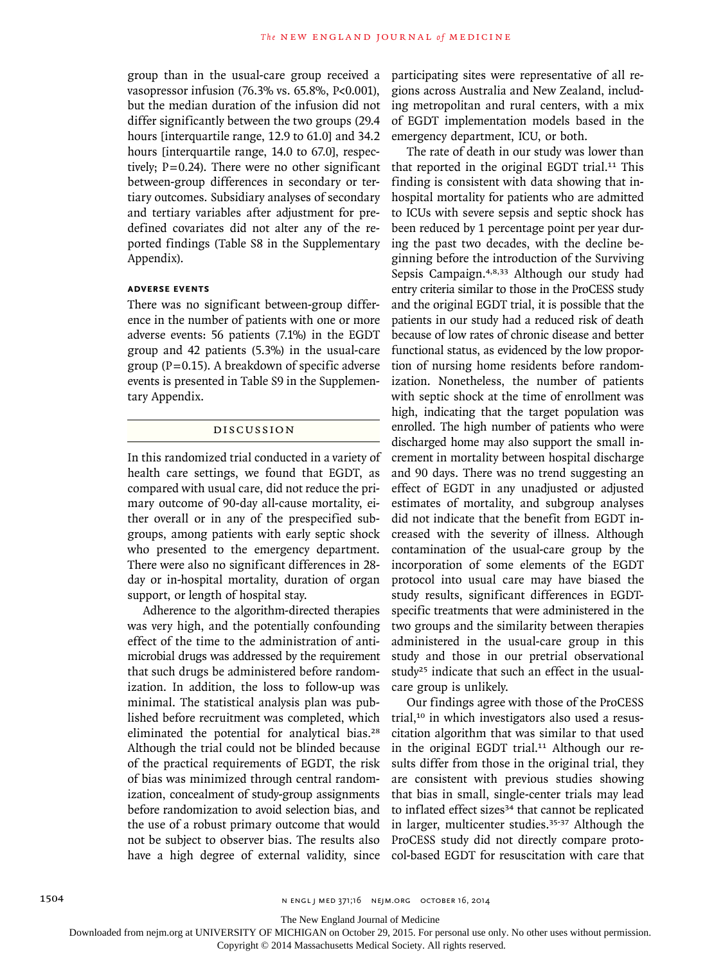group than in the usual-care group received a vasopressor infusion (76.3% vs. 65.8%, P<0.001), but the median duration of the infusion did not differ significantly between the two groups (29.4 hours [interquartile range, 12.9 to 61.0] and 34.2 hours [interquartile range, 14.0 to 67.0], respectively;  $P=0.24$ ). There were no other significant between-group differences in secondary or tertiary outcomes. Subsidiary analyses of secondary and tertiary variables after adjustment for predefined covariates did not alter any of the reported findings (Table S8 in the Supplementary Appendix).

#### **Adverse Events**

There was no significant between-group difference in the number of patients with one or more adverse events: 56 patients (7.1%) in the EGDT group and 42 patients (5.3%) in the usual-care group ( $P=0.15$ ). A breakdown of specific adverse events is presented in Table S9 in the Supplementary Appendix.

## Discussion

In this randomized trial conducted in a variety of health care settings, we found that EGDT, as compared with usual care, did not reduce the primary outcome of 90-day all-cause mortality, either overall or in any of the prespecified subgroups, among patients with early septic shock who presented to the emergency department. There were also no significant differences in 28 day or in-hospital mortality, duration of organ support, or length of hospital stay.

Adherence to the algorithm-directed therapies was very high, and the potentially confounding effect of the time to the administration of antimicrobial drugs was addressed by the requirement that such drugs be administered before randomization. In addition, the loss to follow-up was minimal. The statistical analysis plan was published before recruitment was completed, which eliminated the potential for analytical bias.<sup>28</sup> Although the trial could not be blinded because of the practical requirements of EGDT, the risk of bias was minimized through central randomization, concealment of study-group assignments before randomization to avoid selection bias, and the use of a robust primary outcome that would not be subject to observer bias. The results also have a high degree of external validity, since participating sites were representative of all regions across Australia and New Zealand, including metropolitan and rural centers, with a mix of EGDT implementation models based in the emergency department, ICU, or both.

The rate of death in our study was lower than that reported in the original EGDT trial.11 This finding is consistent with data showing that inhospital mortality for patients who are admitted to ICUs with severe sepsis and septic shock has been reduced by 1 percentage point per year during the past two decades, with the decline beginning before the introduction of the Surviving Sepsis Campaign.4,8,33 Although our study had entry criteria similar to those in the ProCESS study and the original EGDT trial, it is possible that the patients in our study had a reduced risk of death because of low rates of chronic disease and better functional status, as evidenced by the low proportion of nursing home residents before randomization. Nonetheless, the number of patients with septic shock at the time of enrollment was high, indicating that the target population was enrolled. The high number of patients who were discharged home may also support the small increment in mortality between hospital discharge and 90 days. There was no trend suggesting an effect of EGDT in any unadjusted or adjusted estimates of mortality, and subgroup analyses did not indicate that the benefit from EGDT increased with the severity of illness. Although contamination of the usual-care group by the incorporation of some elements of the EGDT protocol into usual care may have biased the study results, significant differences in EGDTspecific treatments that were administered in the two groups and the similarity between therapies administered in the usual-care group in this study and those in our pretrial observational study<sup>25</sup> indicate that such an effect in the usualcare group is unlikely.

Our findings agree with those of the ProCESS trial,10 in which investigators also used a resuscitation algorithm that was similar to that used in the original EGDT trial.<sup>11</sup> Although our results differ from those in the original trial, they are consistent with previous studies showing that bias in small, single-center trials may lead to inflated effect sizes<sup>34</sup> that cannot be replicated in larger, multicenter studies.<sup>35-37</sup> Although the ProCESS study did not directly compare protocol-based EGDT for resuscitation with care that

The New England Journal of Medicine

Downloaded from nejm.org at UNIVERSITY OF MICHIGAN on October 29, 2015. For personal use only. No other uses without permission.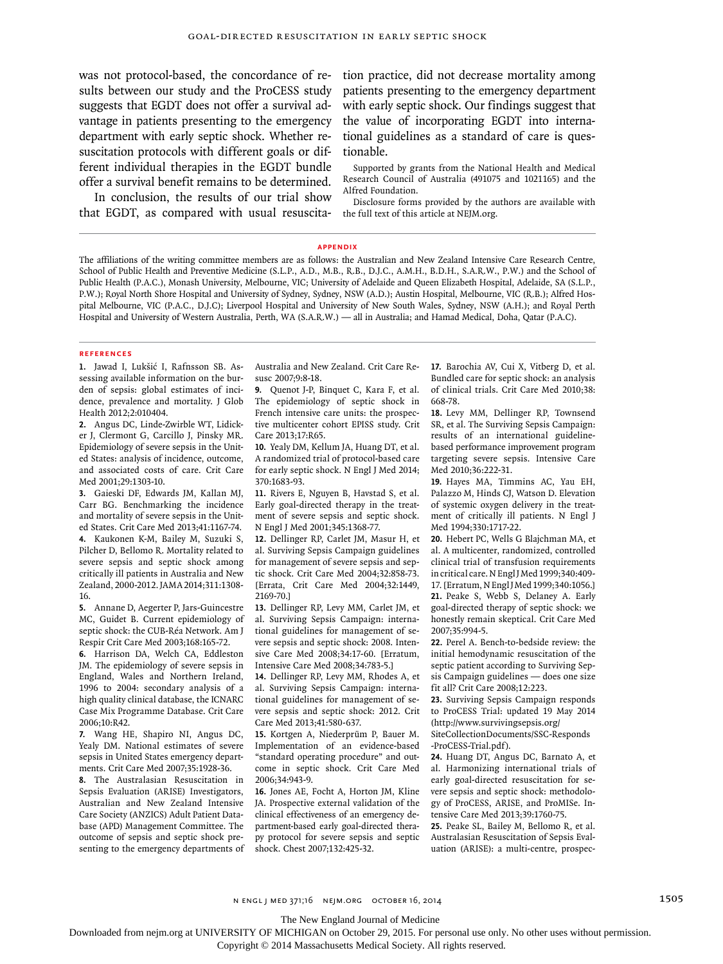was not protocol-based, the concordance of results between our study and the ProCESS study suggests that EGDT does not offer a survival advantage in patients presenting to the emergency department with early septic shock. Whether resuscitation protocols with different goals or different individual therapies in the EGDT bundle offer a survival benefit remains to be determined.

In conclusion, the results of our trial show that EGDT, as compared with usual resuscitation practice, did not decrease mortality among patients presenting to the emergency department with early septic shock. Our findings suggest that the value of incorporating EGDT into international guidelines as a standard of care is questionable.

Supported by grants from the National Health and Medical Research Council of Australia (491075 and 1021165) and the Alfred Foundation.

Disclosure forms provided by the authors are available with the full text of this article at NEJM.org.

#### **Appendix**

The affiliations of the writing committee members are as follows: the Australian and New Zealand Intensive Care Research Centre, School of Public Health and Preventive Medicine (S.L.P., A.D., M.B., R.B., D.J.C., A.M.H., B.D.H., S.A.R.W., P.W.) and the School of Public Health (P.A.C.), Monash University, Melbourne, VIC; University of Adelaide and Queen Elizabeth Hospital, Adelaide, SA (S.L.P., P.W.); Royal North Shore Hospital and University of Sydney, Sydney, NSW (A.D.); Austin Hospital, Melbourne, VIC (R.B.); Alfred Hospital Melbourne, VIC (P.A.C., D.J.C); Liverpool Hospital and University of New South Wales, Sydney, NSW (A.H.); and Royal Perth Hospital and University of Western Australia, Perth, WA (S.A.R.W.) — all in Australia; and Hamad Medical, Doha, Qatar (P.A.C).

#### **References**

**1.** Jawad I, Lukšić I, Rafnsson SB. Assessing available information on the burden of sepsis: global estimates of incidence, prevalence and mortality. J Glob Health 2012;2:010404.

**2.** Angus DC, Linde-Zwirble WT, Lidicker J, Clermont G, Carcillo J, Pinsky MR. Epidemiology of severe sepsis in the United States: analysis of incidence, outcome, and associated costs of care. Crit Care Med 2001;29:1303-10.

**3.** Gaieski DF, Edwards JM, Kallan MJ, Carr BG. Benchmarking the incidence and mortality of severe sepsis in the United States. Crit Care Med 2013;41:1167-74. **4.** Kaukonen K-M, Bailey M, Suzuki S, Pilcher D, Bellomo R. Mortality related to severe sepsis and septic shock among critically ill patients in Australia and New Zealand, 2000-2012. JAMA 2014;311:1308- 16.

**5.** Annane D, Aegerter P, Jars-Guincestre MC, Guidet B. Current epidemiology of septic shock: the CUB-Réa Network. Am J Respir Crit Care Med 2003;168:165-72.

**6.** Harrison DA, Welch CA, Eddleston JM. The epidemiology of severe sepsis in England, Wales and Northern Ireland, 1996 to 2004: secondary analysis of a high quality clinical database, the ICNARC Case Mix Programme Database. Crit Care 2006;10:R42.

**7.** Wang HE, Shapiro NI, Angus DC, Yealy DM. National estimates of severe sepsis in United States emergency departments. Crit Care Med 2007;35:1928-36.

**8.** The Australasian Resuscitation in Sepsis Evaluation (ARISE) Investigators, Australian and New Zealand Intensive Care Society (ANZICS) Adult Patient Database (APD) Management Committee. The outcome of sepsis and septic shock presenting to the emergency departments of Australia and New Zealand. Crit Care Resusc 2007;9:8-18.

**9.** Quenot J-P, Binquet C, Kara F, et al. The epidemiology of septic shock in French intensive care units: the prospective multicenter cohort EPISS study. Crit Care 2013;17:R65.

**10.** Yealy DM, Kellum JA, Huang DT, et al. A randomized trial of protocol-based care for early septic shock. N Engl J Med 2014; 370:1683-93.

**11.** Rivers E, Nguyen B, Havstad S, et al. Early goal-directed therapy in the treatment of severe sepsis and septic shock. N Engl J Med 2001;345:1368-77.

**12.** Dellinger RP, Carlet JM, Masur H, et al. Surviving Sepsis Campaign guidelines for management of severe sepsis and septic shock. Crit Care Med 2004;32:858-73. [Errata, Crit Care Med 2004;32:1449, 2169-70.]

**13.** Dellinger RP, Levy MM, Carlet JM, et al. Surviving Sepsis Campaign: international guidelines for management of severe sepsis and septic shock: 2008. Intensive Care Med 2008;34:17-60. [Erratum, Intensive Care Med 2008;34:783-5.]

**14.** Dellinger RP, Levy MM, Rhodes A, et al. Surviving Sepsis Campaign: international guidelines for management of severe sepsis and septic shock: 2012. Crit Care Med 2013;41:580-637.

**15.** Kortgen A, Niederprüm P, Bauer M. Implementation of an evidence-based "standard operating procedure" and outcome in septic shock. Crit Care Med 2006;34:943-9.

**16.** Jones AE, Focht A, Horton JM, Kline JA. Prospective external validation of the clinical effectiveness of an emergency department-based early goal-directed therapy protocol for severe sepsis and septic shock. Chest 2007;132:425-32.

**17.** Barochia AV, Cui X, Vitberg D, et al. Bundled care for septic shock: an analysis of clinical trials. Crit Care Med 2010;38: 668-78.

**18.** Levy MM, Dellinger RP, Townsend SR, et al. The Surviving Sepsis Campaign: results of an international guidelinebased performance improvement program targeting severe sepsis. Intensive Care Med 2010;36:222-31.

**19.** Hayes MA, Timmins AC, Yau EH, Palazzo M, Hinds CJ, Watson D. Elevation of systemic oxygen delivery in the treatment of critically ill patients. N Engl J Med 1994;330:1717-22.

**20.** Hebert PC, Wells G Blajchman MA, et al. A multicenter, randomized, controlled clinical trial of transfusion requirements in critical care. N Engl J Med 1999;340:409-17. [Erratum, N Engl J Med 1999;340:1056.] **21.** Peake S, Webb S, Delaney A. Early goal-directed therapy of septic shock: we honestly remain skeptical. Crit Care Med 2007;35:994-5.

**22.** Perel A. Bench-to-bedside review: the initial hemodynamic resuscitation of the septic patient according to Surviving Sepsis Campaign guidelines — does one size fit all? Crit Care 2008;12:223.

**23.** Surviving Sepsis Campaign responds to ProCESS Trial: updated 19 May 2014 (http://www.survivingsepsis.org/ SiteCollectionDocuments/SSC-Responds

-ProCESS-Trial.pdf). **24.** Huang DT, Angus DC, Barnato A, et

al. Harmonizing international trials of early goal-directed resuscitation for severe sepsis and septic shock: methodology of ProCESS, ARISE, and ProMISe. Intensive Care Med 2013;39:1760-75.

**25.** Peake SL, Bailey M, Bellomo R, et al. Australasian Resuscitation of Sepsis Evaluation (ARISE): a multi-centre, prospec-

The New England Journal of Medicine

Downloaded from nejm.org at UNIVERSITY OF MICHIGAN on October 29, 2015. For personal use only. No other uses without permission.